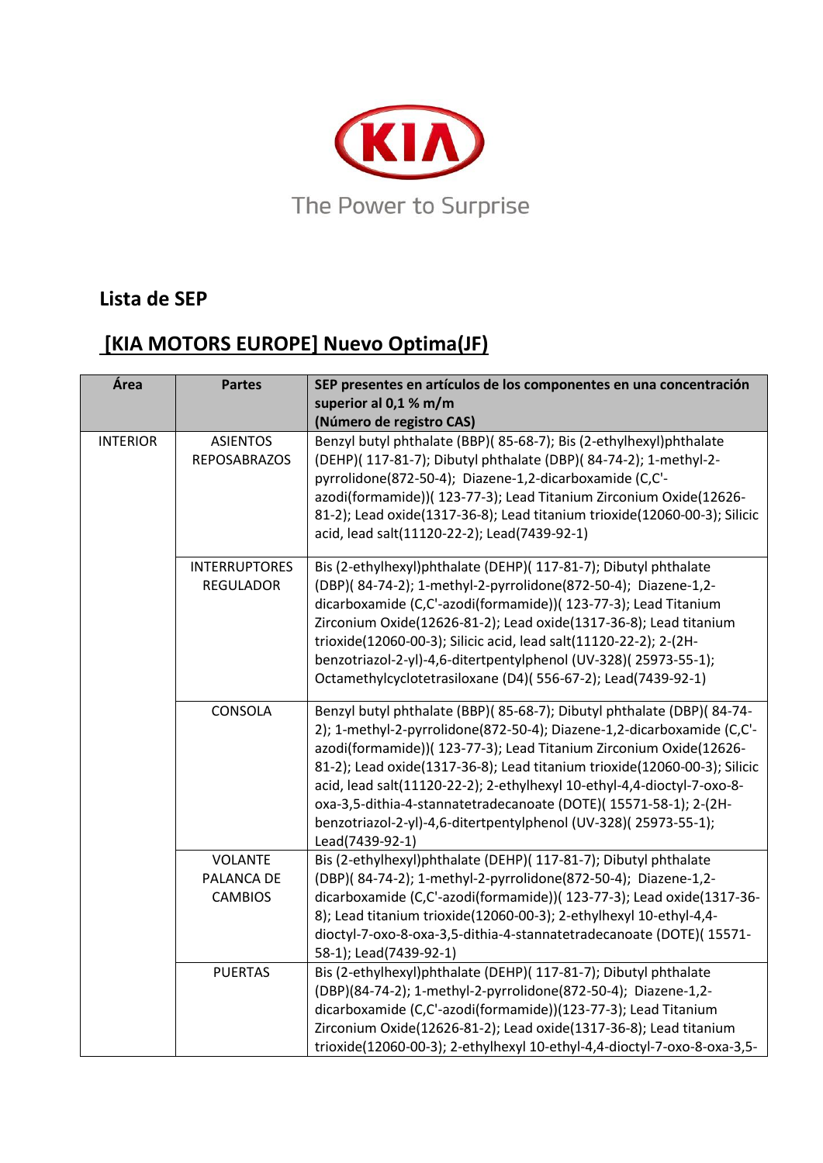

## **Lista de SEP**

## **[KIA MOTORS EUROPE] Nuevo Optima(JF)**

| Área            | <b>Partes</b>                                  | SEP presentes en artículos de los componentes en una concentración<br>superior al 0,1 % m/m<br>(Número de registro CAS)                                                                                                                                                                                                                                                                                                                                                                                                                 |
|-----------------|------------------------------------------------|-----------------------------------------------------------------------------------------------------------------------------------------------------------------------------------------------------------------------------------------------------------------------------------------------------------------------------------------------------------------------------------------------------------------------------------------------------------------------------------------------------------------------------------------|
| <b>INTERIOR</b> | <b>ASIENTOS</b><br><b>REPOSABRAZOS</b>         | Benzyl butyl phthalate (BBP)(85-68-7); Bis (2-ethylhexyl)phthalate<br>(DEHP)( 117-81-7); Dibutyl phthalate (DBP)( 84-74-2); 1-methyl-2-<br>pyrrolidone(872-50-4); Diazene-1,2-dicarboxamide (C,C'-<br>azodi(formamide))( 123-77-3); Lead Titanium Zirconium Oxide(12626-<br>81-2); Lead oxide(1317-36-8); Lead titanium trioxide(12060-00-3); Silicic<br>acid, lead salt(11120-22-2); Lead(7439-92-1)                                                                                                                                   |
|                 | <b>INTERRUPTORES</b><br><b>REGULADOR</b>       | Bis (2-ethylhexyl)phthalate (DEHP)( 117-81-7); Dibutyl phthalate<br>(DBP)(84-74-2); 1-methyl-2-pyrrolidone(872-50-4); Diazene-1,2-<br>dicarboxamide (C,C'-azodi(formamide))( 123-77-3); Lead Titanium<br>Zirconium Oxide(12626-81-2); Lead oxide(1317-36-8); Lead titanium<br>trioxide(12060-00-3); Silicic acid, lead salt(11120-22-2); 2-(2H-<br>benzotriazol-2-yl)-4,6-ditertpentylphenol (UV-328)(25973-55-1);<br>Octamethylcyclotetrasiloxane (D4)(556-67-2); Lead(7439-92-1)                                                      |
|                 | CONSOLA                                        | Benzyl butyl phthalate (BBP)(85-68-7); Dibutyl phthalate (DBP)(84-74-<br>2); 1-methyl-2-pyrrolidone(872-50-4); Diazene-1,2-dicarboxamide (C,C'-<br>azodi(formamide))( 123-77-3); Lead Titanium Zirconium Oxide(12626-<br>81-2); Lead oxide(1317-36-8); Lead titanium trioxide(12060-00-3); Silicic<br>acid, lead salt(11120-22-2); 2-ethylhexyl 10-ethyl-4,4-dioctyl-7-oxo-8-<br>oxa-3,5-dithia-4-stannatetradecanoate (DOTE)(15571-58-1); 2-(2H-<br>benzotriazol-2-yl)-4,6-ditertpentylphenol (UV-328)(25973-55-1);<br>Lead(7439-92-1) |
|                 | <b>VOLANTE</b><br>PALANCA DE<br><b>CAMBIOS</b> | Bis (2-ethylhexyl)phthalate (DEHP)( 117-81-7); Dibutyl phthalate<br>(DBP)(84-74-2); 1-methyl-2-pyrrolidone(872-50-4); Diazene-1,2-<br>dicarboxamide (C,C'-azodi(formamide))( 123-77-3); Lead oxide(1317-36-<br>8); Lead titanium trioxide(12060-00-3); 2-ethylhexyl 10-ethyl-4,4-<br>dioctyl-7-oxo-8-oxa-3,5-dithia-4-stannatetradecanoate (DOTE)(15571-<br>58-1); Lead(7439-92-1)                                                                                                                                                      |
|                 | <b>PUERTAS</b>                                 | Bis (2-ethylhexyl)phthalate (DEHP)( 117-81-7); Dibutyl phthalate<br>(DBP)(84-74-2); 1-methyl-2-pyrrolidone(872-50-4); Diazene-1,2-<br>dicarboxamide (C,C'-azodi(formamide))(123-77-3); Lead Titanium<br>Zirconium Oxide(12626-81-2); Lead oxide(1317-36-8); Lead titanium<br>trioxide(12060-00-3); 2-ethylhexyl 10-ethyl-4,4-dioctyl-7-oxo-8-oxa-3,5-                                                                                                                                                                                   |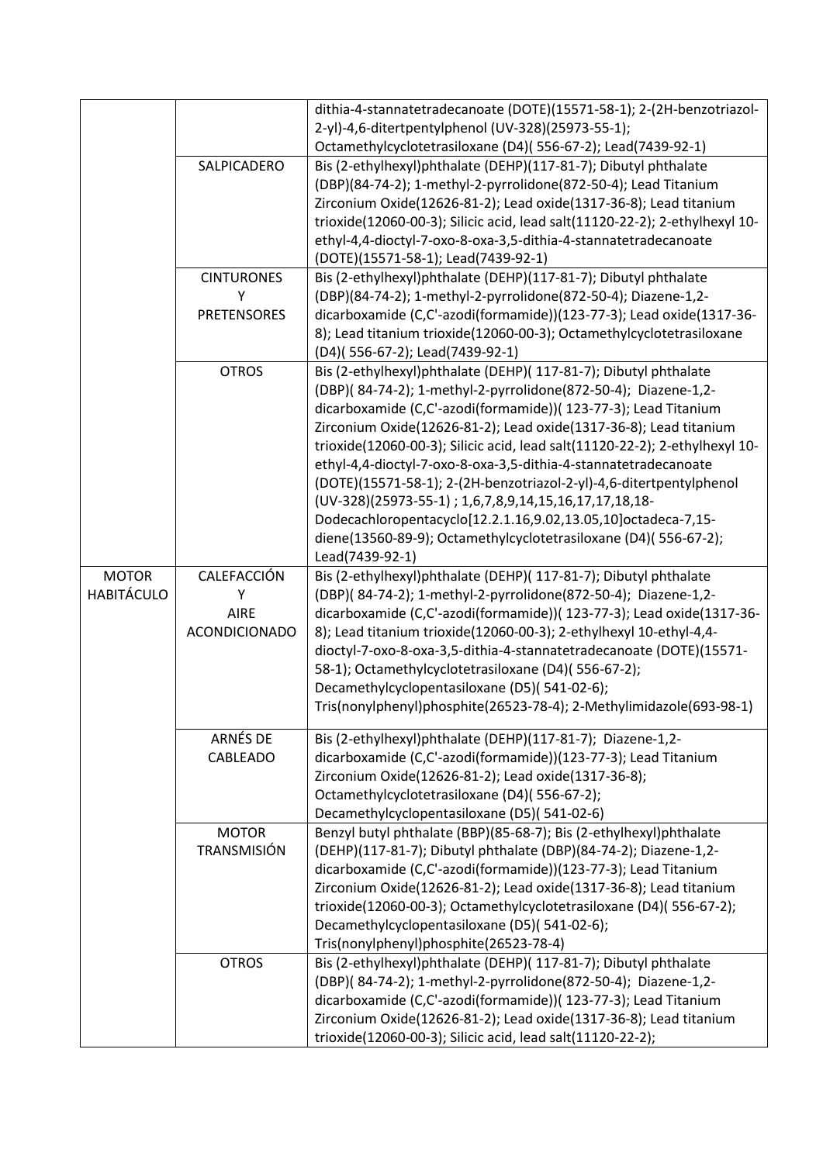|                   |                      | dithia-4-stannatetradecanoate (DOTE)(15571-58-1); 2-(2H-benzotriazol-       |
|-------------------|----------------------|-----------------------------------------------------------------------------|
|                   |                      | 2-yl)-4,6-ditertpentylphenol (UV-328)(25973-55-1);                          |
|                   |                      | Octamethylcyclotetrasiloxane (D4)(556-67-2); Lead(7439-92-1)                |
|                   | SALPICADERO          | Bis (2-ethylhexyl)phthalate (DEHP)(117-81-7); Dibutyl phthalate             |
|                   |                      | (DBP)(84-74-2); 1-methyl-2-pyrrolidone(872-50-4); Lead Titanium             |
|                   |                      | Zirconium Oxide(12626-81-2); Lead oxide(1317-36-8); Lead titanium           |
|                   |                      | trioxide(12060-00-3); Silicic acid, lead salt(11120-22-2); 2-ethylhexyl 10- |
|                   |                      | ethyl-4,4-dioctyl-7-oxo-8-oxa-3,5-dithia-4-stannatetradecanoate             |
|                   |                      | (DOTE)(15571-58-1); Lead(7439-92-1)                                         |
|                   | <b>CINTURONES</b>    | Bis (2-ethylhexyl)phthalate (DEHP)(117-81-7); Dibutyl phthalate             |
|                   | Υ                    | (DBP)(84-74-2); 1-methyl-2-pyrrolidone(872-50-4); Diazene-1,2-              |
|                   | <b>PRETENSORES</b>   | dicarboxamide (C,C'-azodi(formamide))(123-77-3); Lead oxide(1317-36-        |
|                   |                      | 8); Lead titanium trioxide(12060-00-3); Octamethylcyclotetrasiloxane        |
|                   |                      | (D4)(556-67-2); Lead(7439-92-1)                                             |
|                   | <b>OTROS</b>         | Bis (2-ethylhexyl)phthalate (DEHP)( 117-81-7); Dibutyl phthalate            |
|                   |                      | (DBP)(84-74-2); 1-methyl-2-pyrrolidone(872-50-4); Diazene-1,2-              |
|                   |                      | dicarboxamide (C,C'-azodi(formamide))( 123-77-3); Lead Titanium             |
|                   |                      | Zirconium Oxide(12626-81-2); Lead oxide(1317-36-8); Lead titanium           |
|                   |                      | trioxide(12060-00-3); Silicic acid, lead salt(11120-22-2); 2-ethylhexyl 10- |
|                   |                      | ethyl-4,4-dioctyl-7-oxo-8-oxa-3,5-dithia-4-stannatetradecanoate             |
|                   |                      | (DOTE)(15571-58-1); 2-(2H-benzotriazol-2-yl)-4,6-ditertpentylphenol         |
|                   |                      | (UV-328)(25973-55-1); 1,6,7,8,9,14,15,16,17,17,18,18-                       |
|                   |                      | Dodecachloropentacyclo[12.2.1.16,9.02,13.05,10]octadeca-7,15-               |
|                   |                      | diene(13560-89-9); Octamethylcyclotetrasiloxane (D4)(556-67-2);             |
|                   |                      | Lead(7439-92-1)                                                             |
| <b>MOTOR</b>      | CALEFACCIÓN          | Bis (2-ethylhexyl)phthalate (DEHP)( 117-81-7); Dibutyl phthalate            |
| <b>HABITÁCULO</b> | Υ                    | (DBP)(84-74-2); 1-methyl-2-pyrrolidone(872-50-4); Diazene-1,2-              |
|                   | <b>AIRE</b>          | dicarboxamide (C,C'-azodi(formamide))( 123-77-3); Lead oxide(1317-36-       |
|                   | <b>ACONDICIONADO</b> | 8); Lead titanium trioxide(12060-00-3); 2-ethylhexyl 10-ethyl-4,4-          |
|                   |                      | dioctyl-7-oxo-8-oxa-3,5-dithia-4-stannatetradecanoate (DOTE)(15571-         |
|                   |                      | 58-1); Octamethylcyclotetrasiloxane (D4)(556-67-2);                         |
|                   |                      | Decamethylcyclopentasiloxane (D5)(541-02-6);                                |
|                   |                      | Tris(nonylphenyl)phosphite(26523-78-4); 2-Methylimidazole(693-98-1)         |
|                   |                      |                                                                             |
|                   | ARNÉS DE             | Bis (2-ethylhexyl)phthalate (DEHP)(117-81-7); Diazene-1,2-                  |
|                   | CABLEADO             | dicarboxamide (C,C'-azodi(formamide))(123-77-3); Lead Titanium              |
|                   |                      | Zirconium Oxide(12626-81-2); Lead oxide(1317-36-8);                         |
|                   |                      | Octamethylcyclotetrasiloxane (D4)(556-67-2);                                |
|                   |                      | Decamethylcyclopentasiloxane (D5)(541-02-6)                                 |
|                   | <b>MOTOR</b>         | Benzyl butyl phthalate (BBP)(85-68-7); Bis (2-ethylhexyl)phthalate          |
|                   | TRANSMISIÓN          | (DEHP)(117-81-7); Dibutyl phthalate (DBP)(84-74-2); Diazene-1,2-            |
|                   |                      | dicarboxamide (C,C'-azodi(formamide))(123-77-3); Lead Titanium              |
|                   |                      | Zirconium Oxide(12626-81-2); Lead oxide(1317-36-8); Lead titanium           |
|                   |                      | trioxide(12060-00-3); Octamethylcyclotetrasiloxane (D4)(556-67-2);          |
|                   |                      | Decamethylcyclopentasiloxane (D5)(541-02-6);                                |
|                   |                      | Tris(nonylphenyl)phosphite(26523-78-4)                                      |
|                   | <b>OTROS</b>         | Bis (2-ethylhexyl)phthalate (DEHP)( 117-81-7); Dibutyl phthalate            |
|                   |                      | (DBP)(84-74-2); 1-methyl-2-pyrrolidone(872-50-4); Diazene-1,2-              |
|                   |                      | dicarboxamide (C,C'-azodi(formamide))( 123-77-3); Lead Titanium             |
|                   |                      | Zirconium Oxide(12626-81-2); Lead oxide(1317-36-8); Lead titanium           |
|                   |                      | trioxide(12060-00-3); Silicic acid, lead salt(11120-22-2);                  |